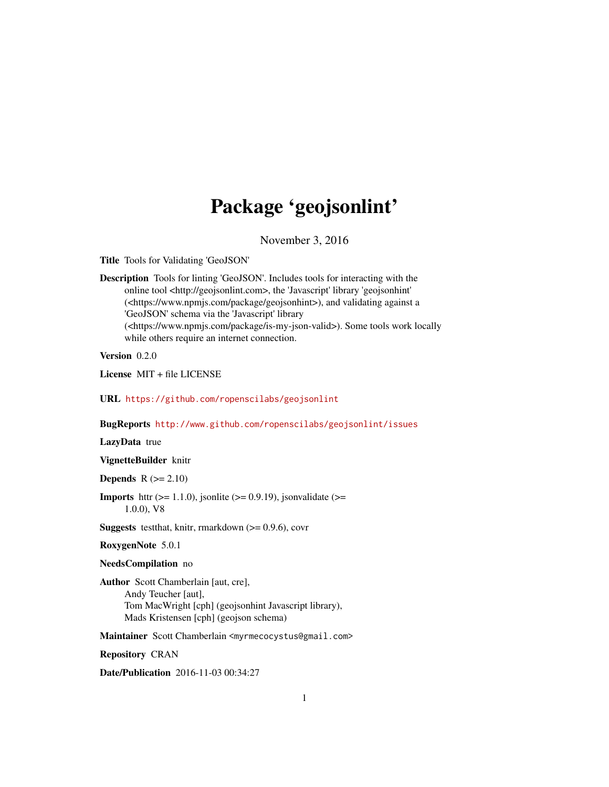# Package 'geojsonlint'

November 3, 2016

<span id="page-0-0"></span>Title Tools for Validating 'GeoJSON'

Description Tools for linting 'GeoJSON'. Includes tools for interacting with the online tool <http://geojsonlint.com>, the 'Javascript' library 'geojsonhint' (<https://www.npmjs.com/package/geojsonhint>), and validating against a 'GeoJSON' schema via the 'Javascript' library (<https://www.npmjs.com/package/is-my-json-valid>). Some tools work locally while others require an internet connection.

Version 0.2.0

License MIT + file LICENSE

URL <https://github.com/ropenscilabs/geojsonlint>

BugReports <http://www.github.com/ropenscilabs/geojsonlint/issues>

LazyData true

VignetteBuilder knitr

**Depends**  $R (= 2.10)$ 

**Imports** httr ( $>= 1.1.0$ ), jsonlite ( $>= 0.9.19$ ), jsonvalidate ( $>=$ 1.0.0), V8

**Suggests** testthat, knitr, rmarkdown  $(>= 0.9.6)$ , covr

RoxygenNote 5.0.1

NeedsCompilation no

Author Scott Chamberlain [aut, cre], Andy Teucher [aut], Tom MacWright [cph] (geojsonhint Javascript library), Mads Kristensen [cph] (geojson schema)

Maintainer Scott Chamberlain <myrmecocystus@gmail.com>

Repository CRAN

Date/Publication 2016-11-03 00:34:27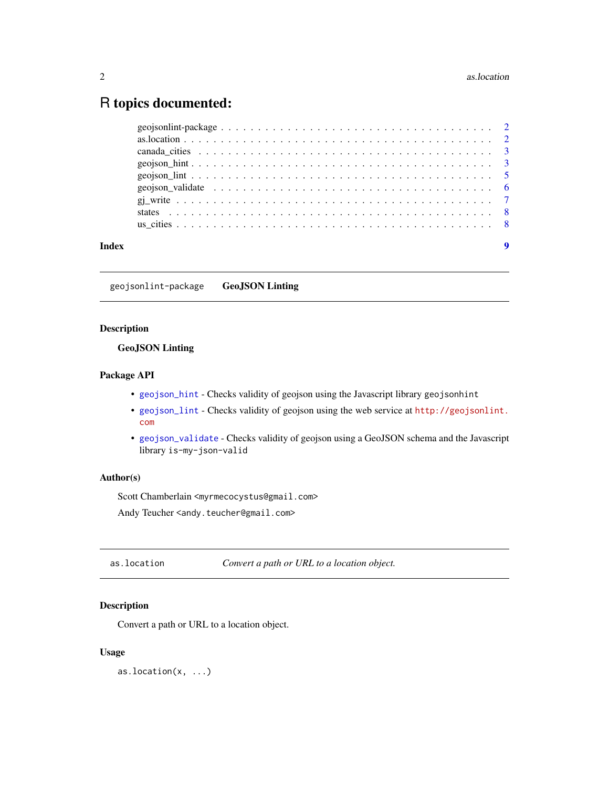# <span id="page-1-0"></span>R topics documented:

geojsonlint-package GeoJSON Linting

# Description

# GeoJSON Linting

# Package API

- [geojson\\_hint](#page-2-1) Checks validity of geojson using the Javascript library geojsonhint
- [geojson\\_lint](#page-4-1) Checks validity of geojson using the web service at [http://geojsonlint.](http://geojsonlint.com) [com](http://geojsonlint.com)
- [geojson\\_validate](#page-5-1) Checks validity of geojson using a GeoJSON schema and the Javascript library is-my-json-valid

#### Author(s)

Scott Chamberlain <myrmecocystus@gmail.com>

Andy Teucher <andy.teucher@gmail.com>

as.location *Convert a path or URL to a location object.*

# Description

Convert a path or URL to a location object.

# Usage

as.location(x, ...)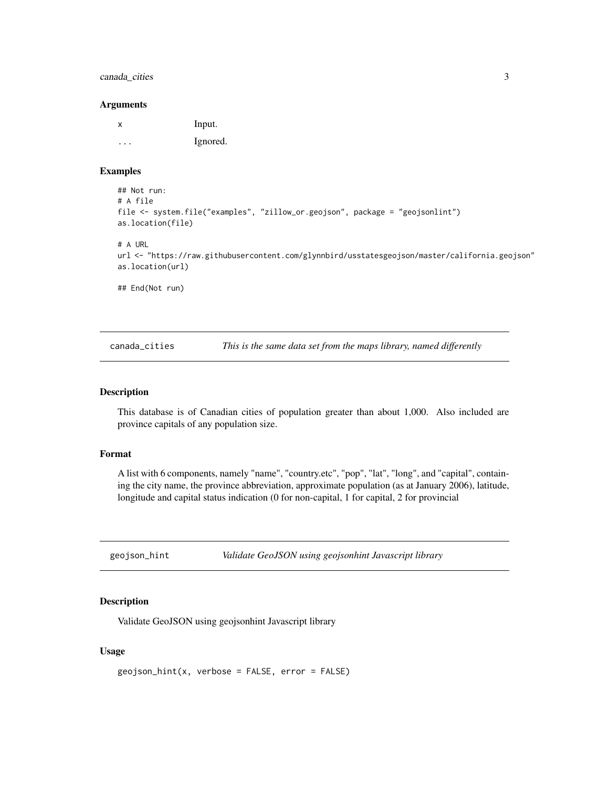# <span id="page-2-0"></span>canada\_cities 3

#### **Arguments**

| х | Input.   |
|---|----------|
| . | Ignored. |

### Examples

```
## Not run:
# A file
file <- system.file("examples", "zillow_or.geojson", package = "geojsonlint")
as.location(file)
```
# A URL

url <- "https://raw.githubusercontent.com/glynnbird/usstatesgeojson/master/california.geojson" as.location(url)

## End(Not run)

canada\_cities *This is the same data set from the maps library, named differently*

#### Description

This database is of Canadian cities of population greater than about 1,000. Also included are province capitals of any population size.

#### Format

A list with 6 components, namely "name", "country.etc", "pop", "lat", "long", and "capital", containing the city name, the province abbreviation, approximate population (as at January 2006), latitude, longitude and capital status indication (0 for non-capital, 1 for capital, 2 for provincial

<span id="page-2-1"></span>geojson\_hint *Validate GeoJSON using geojsonhint Javascript library*

# Description

Validate GeoJSON using geojsonhint Javascript library

# Usage

```
geojson_hint(x, verbose = FALSE, error = FALSE)
```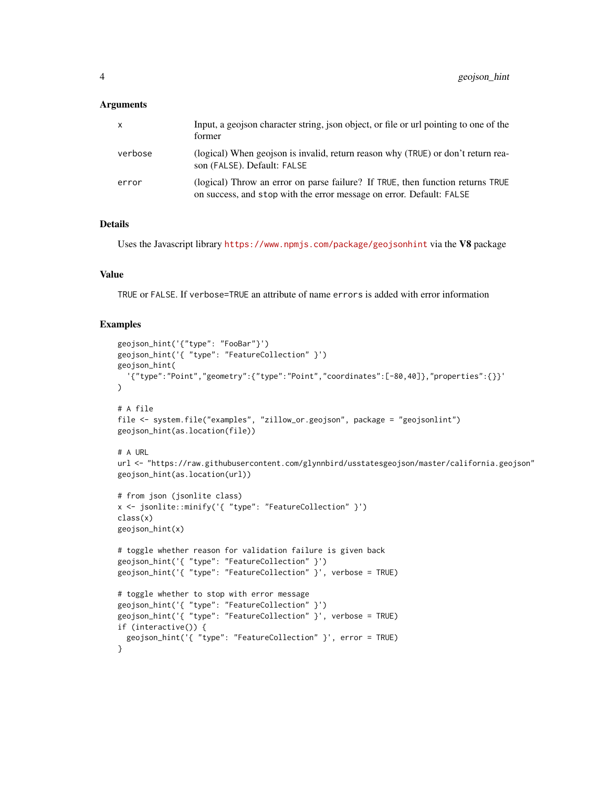#### **Arguments**

| $\boldsymbol{\mathsf{x}}$ | Input, a geojson character string, ison object, or file or url pointing to one of the<br>former                                                        |
|---------------------------|--------------------------------------------------------------------------------------------------------------------------------------------------------|
| verbose                   | (logical) When geojson is invalid, return reason why (TRUE) or don't return rea-<br>son (FALSE). Default: FALSE                                        |
| error                     | (logical) Throw an error on parse failure? If TRUE, then function returns TRUE<br>on success, and stop with the error message on error. Default: FALSE |

# Details

Uses the Javascript library <https://www.npmjs.com/package/geojsonhint> via the V8 package

#### Value

TRUE or FALSE. If verbose=TRUE an attribute of name errors is added with error information

#### Examples

```
geojson_hint('{"type": "FooBar"}')
geojson_hint('{ "type": "FeatureCollection" }')
geojson_hint(
  '{"type":"Point","geometry":{"type":"Point","coordinates":[-80,40]},"properties":{}}'
\lambda# A file
file <- system.file("examples", "zillow_or.geojson", package = "geojsonlint")
geojson_hint(as.location(file))
# A URL
url <- "https://raw.githubusercontent.com/glynnbird/usstatesgeojson/master/california.geojson"
geojson_hint(as.location(url))
# from json (jsonlite class)
x <- jsonlite::minify('{ "type": "FeatureCollection" }')
class(x)
geojson_hint(x)
# toggle whether reason for validation failure is given back
geojson_hint('{ "type": "FeatureCollection" }')
geojson_hint('{ "type": "FeatureCollection" }', verbose = TRUE)
# toggle whether to stop with error message
geojson_hint('{ "type": "FeatureCollection" }')
geojson_hint('{ "type": "FeatureCollection" }', verbose = TRUE)
if (interactive()) {
  geojson_hint('{ "type": "FeatureCollection" }', error = TRUE)
}
```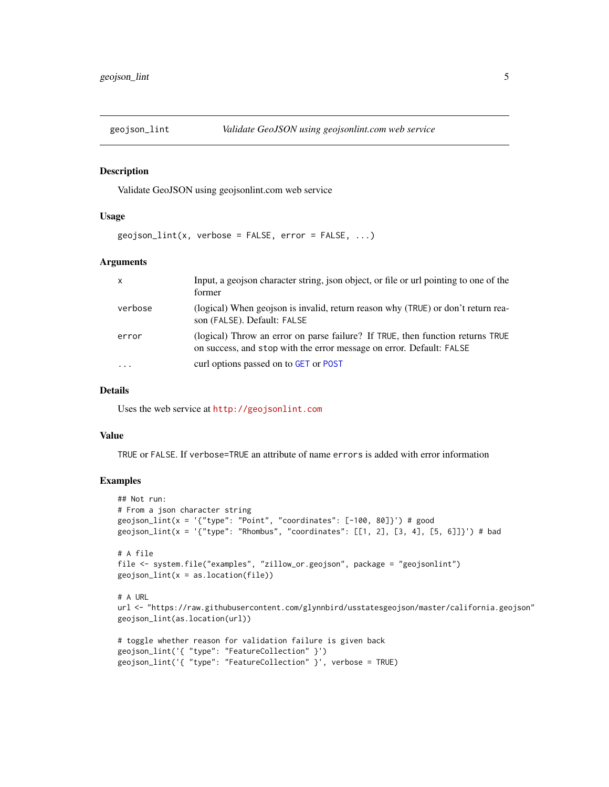<span id="page-4-1"></span><span id="page-4-0"></span>

#### Description

Validate GeoJSON using geojsonlint.com web service

#### Usage

```
geojson_lint(x, verbose = FALSE, error = FALSE, ...)
```
# Arguments

| $\mathsf{x}$ | Input, a geojson character string, json object, or file or url pointing to one of the<br>former                                                        |
|--------------|--------------------------------------------------------------------------------------------------------------------------------------------------------|
| verbose      | (logical) When geojson is invalid, return reason why (TRUE) or don't return rea-<br>son (FALSE). Default: FALSE                                        |
| error        | (logical) Throw an error on parse failure? If TRUE, then function returns TRUE<br>on success, and stop with the error message on error. Default: FALSE |
| $\cdot$      | curl options passed on to GET or POST                                                                                                                  |

#### Details

Uses the web service at <http://geojsonlint.com>

#### Value

TRUE or FALSE. If verbose=TRUE an attribute of name errors is added with error information

# Examples

```
## Not run:
# From a json character string
geojson_lint(x = '{"type": "Point", "coordinates": [-100, 80]}') # good
geojson_lint(x = '{"type": "Rhombus", "coordinates": [[1, 2], [3, 4], [5, 6]]}') # bad
# A file
file <- system.file("examples", "zillow_or.geojson", package = "geojsonlint")
geojson_lint(x = as.location(file))
# A URL
url <- "https://raw.githubusercontent.com/glynnbird/usstatesgeojson/master/california.geojson"
geojson_lint(as.location(url))
# toggle whether reason for validation failure is given back
geojson_lint('{ "type": "FeatureCollection" }')
geojson_lint('{ "type": "FeatureCollection" }', verbose = TRUE)
```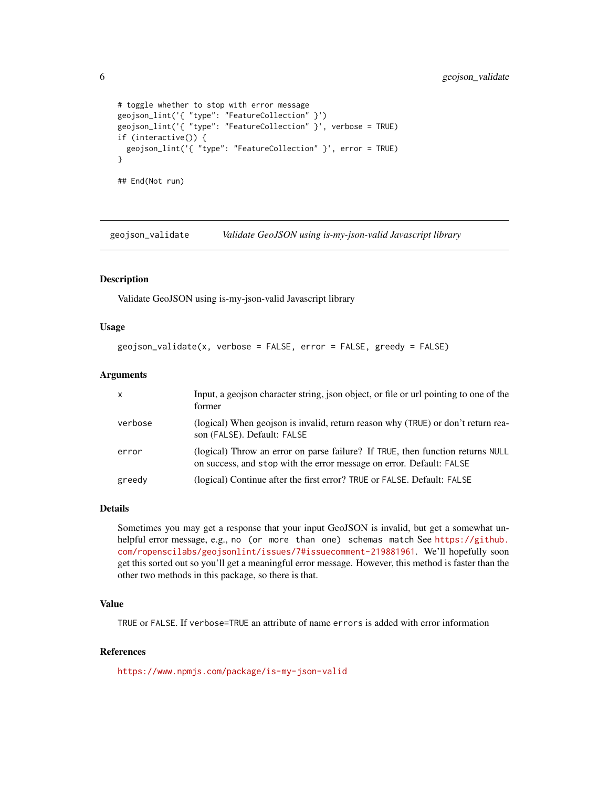```
# toggle whether to stop with error message
geojson_lint('{ "type": "FeatureCollection" }')
geojson_lint('{ "type": "FeatureCollection" }', verbose = TRUE)
if (interactive()) {
 geojson_lint('{ "type": "FeatureCollection" }', error = TRUE)
}
## End(Not run)
```
<span id="page-5-1"></span>geojson\_validate *Validate GeoJSON using is-my-json-valid Javascript library*

# Description

Validate GeoJSON using is-my-json-valid Javascript library

#### Usage

```
geojson_validate(x, verbose = FALSE, error = FALSE, greedy = FALSE)
```
### Arguments

| $\mathsf{x}$ | Input, a geojson character string, json object, or file or url pointing to one of the<br>former                                                        |
|--------------|--------------------------------------------------------------------------------------------------------------------------------------------------------|
| verbose      | (logical) When geojson is invalid, return reason why (TRUE) or don't return rea-<br>son (FALSE). Default: FALSE                                        |
| error        | (logical) Throw an error on parse failure? If TRUE, then function returns NULL<br>on success, and stop with the error message on error. Default: FALSE |
| greedy       | (logical) Continue after the first error? TRUE or FALSE. Default: FALSE                                                                                |

#### Details

Sometimes you may get a response that your input GeoJSON is invalid, but get a somewhat unhelpful error message, e.g., no (or more than one) schemas match See [https://github.](https://github.com/ropenscilabs/geojsonlint/issues/7#issuecomment-219881961) [com/ropenscilabs/geojsonlint/issues/7#issuecomment-219881961](https://github.com/ropenscilabs/geojsonlint/issues/7#issuecomment-219881961). We'll hopefully soon get this sorted out so you'll get a meaningful error message. However, this method is faster than the other two methods in this package, so there is that.

# Value

TRUE or FALSE. If verbose=TRUE an attribute of name errors is added with error information

# References

<https://www.npmjs.com/package/is-my-json-valid>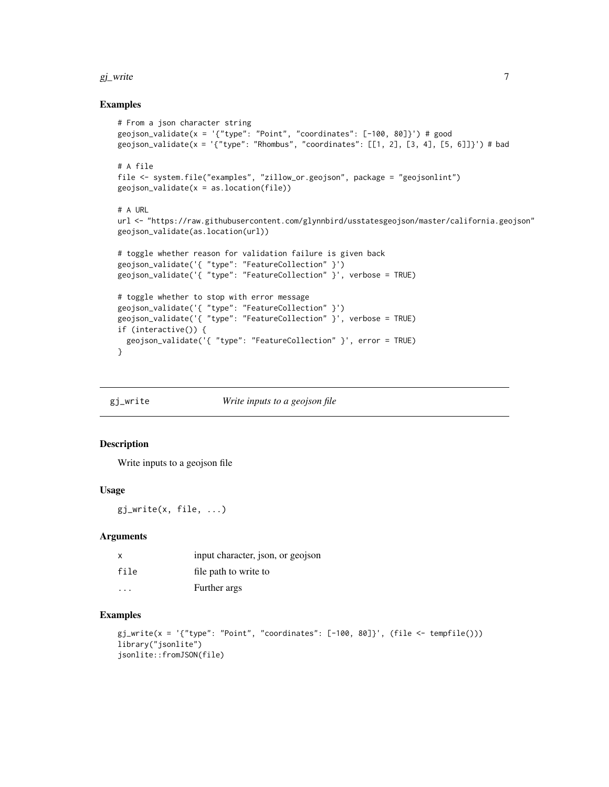#### <span id="page-6-0"></span> $g_j$ \_write  $\sim$  7

### Examples

```
# From a json character string
geojson_validate(x = '{"type": "Point", "coordinates": [-100, 80]}') # good
geojson_validate(x = '{"type": "Rhombus", "coordinates": [[1, 2], [3, 4], [5, 6]]}') # bad
# A file
file <- system.file("examples", "zillow_or.geojson", package = "geojsonlint")
geojson_validate(x = as.location(file))
# A URL
url <- "https://raw.githubusercontent.com/glynnbird/usstatesgeojson/master/california.geojson"
geojson_validate(as.location(url))
# toggle whether reason for validation failure is given back
geojson_validate('{ "type": "FeatureCollection" }')
geojson_validate('{ "type": "FeatureCollection" }', verbose = TRUE)
# toggle whether to stop with error message
geojson_validate('{ "type": "FeatureCollection" }')
geojson_validate('{ "type": "FeatureCollection" }', verbose = TRUE)
if (interactive()) {
  geojson_validate('{ "type": "FeatureCollection" }', error = TRUE)
}
```
gj\_write *Write inputs to a geojson file*

# Description

Write inputs to a geojson file

#### Usage

gj\_write(x, file, ...)

#### Arguments

| x                       | input character, json, or geojson |
|-------------------------|-----------------------------------|
| file                    | file path to write to             |
| $\cdot$ $\cdot$ $\cdot$ | Further args                      |

#### Examples

```
gj\_write(x = '{'t'type": "Point", "coordinates": [-100, 80]'}, (file <- tempfile()))
library("jsonlite")
jsonlite::fromJSON(file)
```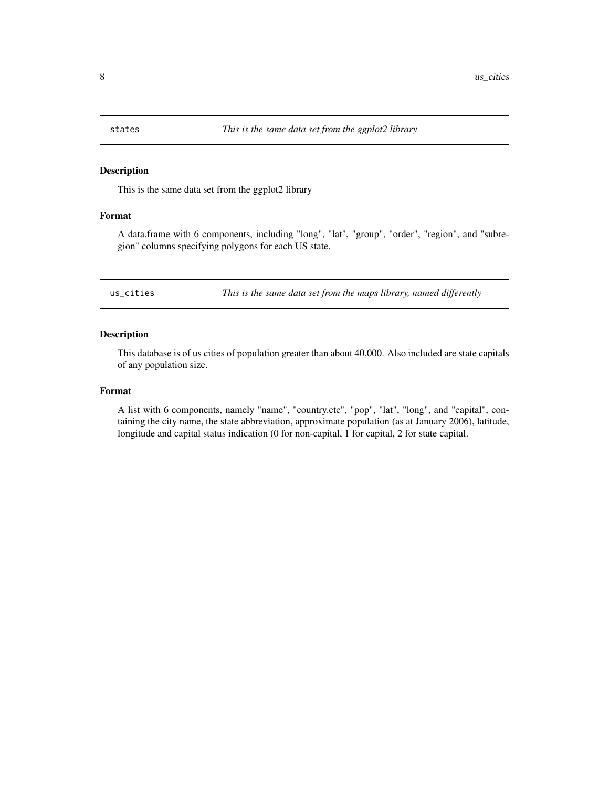<span id="page-7-0"></span>

#### Description

This is the same data set from the ggplot2 library

### Format

A data.frame with 6 components, including "long", "lat", "group", "order", "region", and "subregion" columns specifying polygons for each US state.

us\_cities *This is the same data set from the maps library, named differently*

# Description

This database is of us cities of population greater than about 40,000. Also included are state capitals of any population size.

#### Format

A list with 6 components, namely "name", "country.etc", "pop", "lat", "long", and "capital", containing the city name, the state abbreviation, approximate population (as at January 2006), latitude, longitude and capital status indication (0 for non-capital, 1 for capital, 2 for state capital.